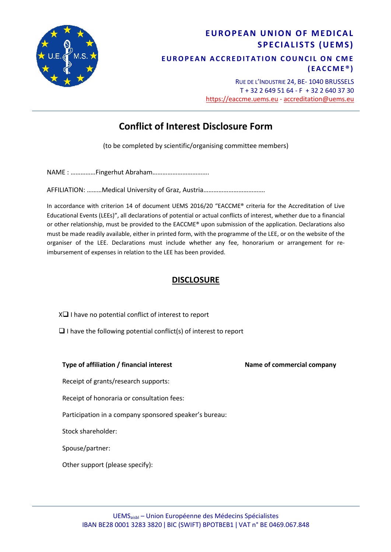

# **EUROPEAN UNION OF MEDICAL SPECIALISTS (UEMS) EUROPEAN ACCREDITATION COUNCIL ON CME (EACCME ® )**

RUE DE L'INDUSTRIE 24, BE- 1040 BRUSSELS T + 32 2 649 51 64 - F + 32 2 640 37 30 https://eaccme.uems.eu - accreditation@uems.eu

# **Conflict of Interest Disclosure Form**

(to be completed by scientific/organising committee members)

NAME : ……………Fingerhut Abraham…………………………….

AFFILIATION: ………Medical University of Graz, Austria……………………………….

In accordance with criterion 14 of document UEMS 2016/20 "EACCME® criteria for the Accreditation of Live Educational Events (LEEs)", all declarations of potential or actual conflicts of interest, whether due to a financial or other relationship, must be provided to the EACCME® upon submission of the application. Declarations also must be made readily available, either in printed form, with the programme of the LEE, or on the website of the organiser of the LEE. Declarations must include whether any fee, honorarium or arrangement for reimbursement of expenses in relation to the LEE has been provided.

### **DISCLOSURE**

 $X\Box$  I have no potential conflict of interest to report

 $\Box$  I have the following potential conflict(s) of interest to report

#### **Type of affiliation / financial interest Name of commercial company**

Receipt of grants/research supports:

Receipt of honoraria or consultation fees:

Participation in a company sponsored speaker's bureau:

Stock shareholder:

Spouse/partner:

Other support (please specify):